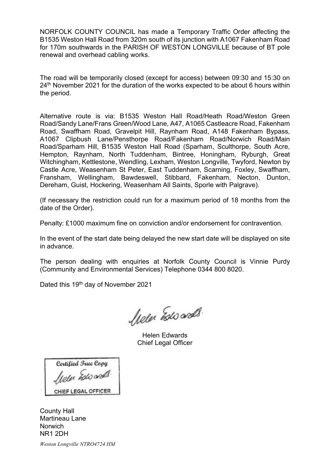NORFOLK COUNTY COUNCIL has made a Temporary Traffic Order affecting the B1535 Weston Hall Road from 320m south of its junction with A1067 Fakenham Road for 170m southwards in the PARISH OF WESTON LONGVILLE because of BT pole renewal and overhead cabling works.

The road will be temporarily closed (except for access) between 09:30 and 15:30 on 24<sup>th</sup> November 2021 for the duration of the works expected to be about 6 hours within the period.

Alternative route is via: B1535 Weston Hall Road/Heath Road/Weston Green Road/Sandy Lane/Frans Green/Wood Lane, A47, A1065 Castleacre Road, Fakenham Road, Swaffham Road, Gravelpit Hill, Raynham Road, A148 Fakenham Bypass, A1067 Clipbush Lane/Pensthorpe Road/Fakenham Road/Norwich Road/Main Road/Sparham Hill, B1535 Weston Hall Road (Sparham, Sculthorpe, South Acre, Hempton, Raynham, North Tuddenham, Bintree, Honingham, Ryburgh, Great Witchingham, Kettlestone, Wendling, Lexham, Weston Longville, Twyford, Newton by Castle Acre, Weasenham St Peter, East Tuddenham, Scarning, Foxley, Swaffham, Fransham, Wellingham, Bawdeswell, Stibbard, Fakenham, Necton, Dunton, Dereham, Guist, Hockering, Weasenham All Saints, Sporle with Palgrave).

(If necessary the restriction could run for a maximum period of 18 months from the date of the Order).

Penalty: £1000 maximum fine on conviction and/or endorsement for contravention.

In the event of the start date being delayed the new start date will be displayed on site in advance.

The person dealing with enquiries at Norfolk County Council is Vinnie Purdy (Community and Environmental Services) Telephone 0344 800 8020.

Dated this 19<sup>th</sup> day of November 2021

hele Esto ands.

Helen Edwards Chief Legal Officer

Certified True Copy hele Estocrals. CHIEF LEGAL OFFICER

County Hall Martineau Lane Norwich NR1 2DH

Weston Longville NTRO4724 HM